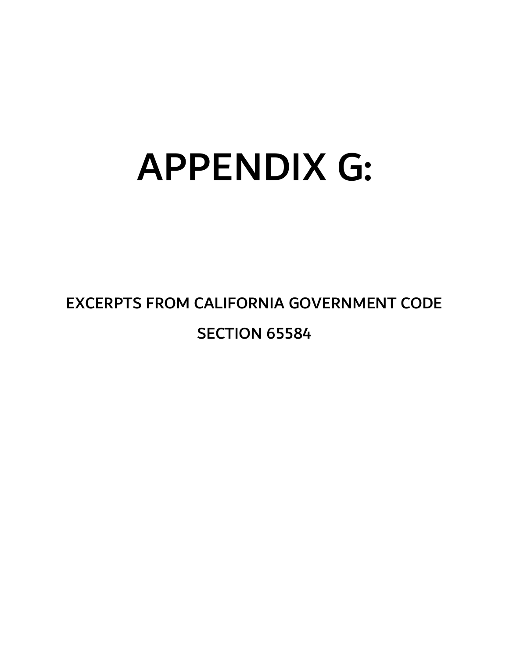# APPENDIX G:

EXCERPTS FROM CALIFORNIA GOVERNMENT CODE SECTION 65584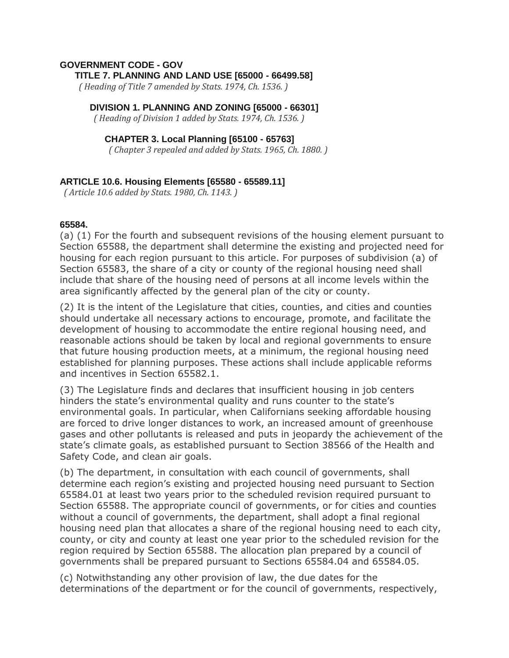#### **GOVERNMENT CODE - GOV TITLE 7. PLANNING AND LAND USE [65000 - 66499.58]**

 *( Heading of Title 7 amended by Stats. 1974, Ch. 1536. )*

#### **DIVISION 1. PLANNING AND ZONING [65000 - 66301]**

 *( Heading of Division 1 added by Stats. 1974, Ch. 1536. )*

#### **CHAPTER 3. Local Planning [65100 - 65763]**

 *( Chapter 3 repealed and added by Stats. 1965, Ch. 1880. )*

### **ARTICLE 10.6. Housing Elements [65580 - 65589.11]**

 *( Article 10.6 added by Stats. 1980, Ch. 1143. )*

#### **65584.**

(a) (1) For the fourth and subsequent revisions of the housing element pursuant to Section 65588, the department shall determine the existing and projected need for housing for each region pursuant to this article. For purposes of subdivision (a) of Section 65583, the share of a city or county of the regional housing need shall include that share of the housing need of persons at all income levels within the area significantly affected by the general plan of the city or county.

(2) It is the intent of the Legislature that cities, counties, and cities and counties should undertake all necessary actions to encourage, promote, and facilitate the development of housing to accommodate the entire regional housing need, and reasonable actions should be taken by local and regional governments to ensure that future housing production meets, at a minimum, the regional housing need established for planning purposes. These actions shall include applicable reforms and incentives in Section 65582.1.

(3) The Legislature finds and declares that insufficient housing in job centers hinders the state's environmental quality and runs counter to the state's environmental goals. In particular, when Californians seeking affordable housing are forced to drive longer distances to work, an increased amount of greenhouse gases and other pollutants is released and puts in jeopardy the achievement of the state's climate goals, as established pursuant to Section 38566 of the Health and Safety Code, and clean air goals.

(b) The department, in consultation with each council of governments, shall determine each region's existing and projected housing need pursuant to Section 65584.01 at least two years prior to the scheduled revision required pursuant to Section 65588. The appropriate council of governments, or for cities and counties without a council of governments, the department, shall adopt a final regional housing need plan that allocates a share of the regional housing need to each city, county, or city and county at least one year prior to the scheduled revision for the region required by Section 65588. The allocation plan prepared by a council of governments shall be prepared pursuant to Sections 65584.04 and 65584.05.

(c) Notwithstanding any other provision of law, the due dates for the determinations of the department or for the council of governments, respectively,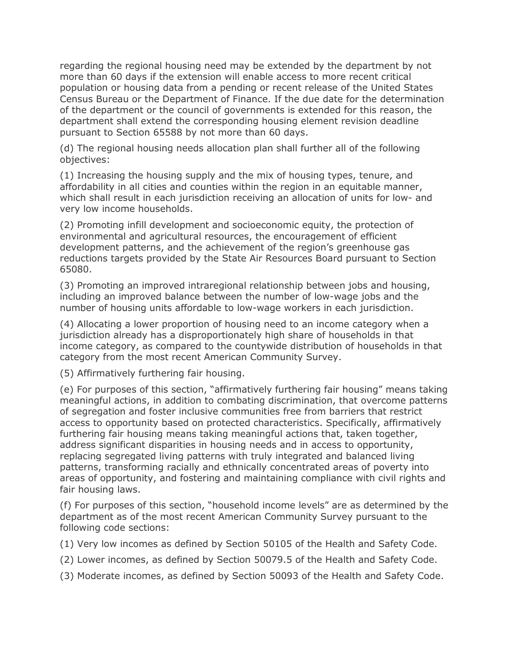regarding the regional housing need may be extended by the department by not more than 60 days if the extension will enable access to more recent critical population or housing data from a pending or recent release of the United States Census Bureau or the Department of Finance. If the due date for the determination of the department or the council of governments is extended for this reason, the department shall extend the corresponding housing element revision deadline pursuant to Section 65588 by not more than 60 days.

(d) The regional housing needs allocation plan shall further all of the following objectives:

(1) Increasing the housing supply and the mix of housing types, tenure, and affordability in all cities and counties within the region in an equitable manner, which shall result in each jurisdiction receiving an allocation of units for low- and very low income households.

(2) Promoting infill development and socioeconomic equity, the protection of environmental and agricultural resources, the encouragement of efficient development patterns, and the achievement of the region's greenhouse gas reductions targets provided by the State Air Resources Board pursuant to Section 65080.

(3) Promoting an improved intraregional relationship between jobs and housing, including an improved balance between the number of low-wage jobs and the number of housing units affordable to low-wage workers in each jurisdiction.

(4) Allocating a lower proportion of housing need to an income category when a jurisdiction already has a disproportionately high share of households in that income category, as compared to the countywide distribution of households in that category from the most recent American Community Survey.

(5) Affirmatively furthering fair housing.

(e) For purposes of this section, "affirmatively furthering fair housing" means taking meaningful actions, in addition to combating discrimination, that overcome patterns of segregation and foster inclusive communities free from barriers that restrict access to opportunity based on protected characteristics. Specifically, affirmatively furthering fair housing means taking meaningful actions that, taken together, address significant disparities in housing needs and in access to opportunity, replacing segregated living patterns with truly integrated and balanced living patterns, transforming racially and ethnically concentrated areas of poverty into areas of opportunity, and fostering and maintaining compliance with civil rights and fair housing laws.

(f) For purposes of this section, "household income levels" are as determined by the department as of the most recent American Community Survey pursuant to the following code sections:

(1) Very low incomes as defined by Section 50105 of the Health and Safety Code.

- (2) Lower incomes, as defined by Section 50079.5 of the Health and Safety Code.
- (3) Moderate incomes, as defined by Section 50093 of the Health and Safety Code.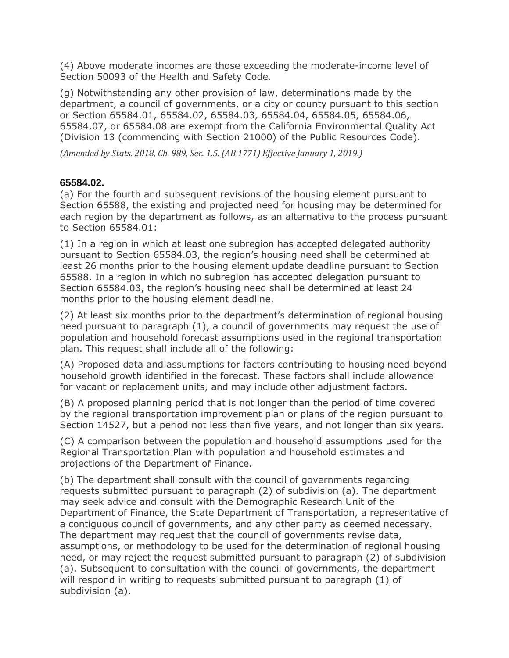(4) Above moderate incomes are those exceeding the moderate-income level of Section 50093 of the Health and Safety Code.

(g) Notwithstanding any other provision of law, determinations made by the department, a council of governments, or a city or county pursuant to this section or Section 65584.01, 65584.02, 65584.03, 65584.04, 65584.05, 65584.06, 65584.07, or 65584.08 are exempt from the California Environmental Quality Act (Division 13 (commencing with Section 21000) of the Public Resources Code).

*(Amended by Stats. 2018, Ch. 989, Sec. 1.5. (AB 1771) Effective January 1, 2019.)*

## **65584.02.**

(a) For the fourth and subsequent revisions of the housing element pursuant to Section 65588, the existing and projected need for housing may be determined for each region by the department as follows, as an alternative to the process pursuant to Section 65584.01:

(1) In a region in which at least one subregion has accepted delegated authority pursuant to Section 65584.03, the region's housing need shall be determined at least 26 months prior to the housing element update deadline pursuant to Section 65588. In a region in which no subregion has accepted delegation pursuant to Section 65584.03, the region's housing need shall be determined at least 24 months prior to the housing element deadline.

(2) At least six months prior to the department's determination of regional housing need pursuant to paragraph (1), a council of governments may request the use of population and household forecast assumptions used in the regional transportation plan. This request shall include all of the following:

(A) Proposed data and assumptions for factors contributing to housing need beyond household growth identified in the forecast. These factors shall include allowance for vacant or replacement units, and may include other adjustment factors.

(B) A proposed planning period that is not longer than the period of time covered by the regional transportation improvement plan or plans of the region pursuant to Section 14527, but a period not less than five years, and not longer than six years.

(C) A comparison between the population and household assumptions used for the Regional Transportation Plan with population and household estimates and projections of the Department of Finance.

(b) The department shall consult with the council of governments regarding requests submitted pursuant to paragraph (2) of subdivision (a). The department may seek advice and consult with the Demographic Research Unit of the Department of Finance, the State Department of Transportation, a representative of a contiguous council of governments, and any other party as deemed necessary. The department may request that the council of governments revise data, assumptions, or methodology to be used for the determination of regional housing need, or may reject the request submitted pursuant to paragraph (2) of subdivision (a). Subsequent to consultation with the council of governments, the department will respond in writing to requests submitted pursuant to paragraph (1) of subdivision (a).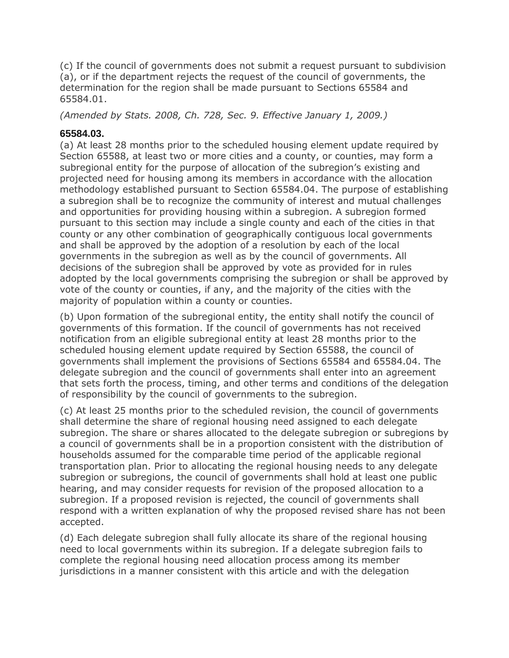(c) If the council of governments does not submit a request pursuant to subdivision (a), or if the department rejects the request of the council of governments, the determination for the region shall be made pursuant to Sections 65584 and 65584.01.

*(Amended by Stats. 2008, Ch. 728, Sec. 9. Effective January 1, 2009.)*

## **65584.03.**

(a) At least 28 months prior to the scheduled housing element update required by Section 65588, at least two or more cities and a county, or counties, may form a subregional entity for the purpose of allocation of the subregion's existing and projected need for housing among its members in accordance with the allocation methodology established pursuant to Section 65584.04. The purpose of establishing a subregion shall be to recognize the community of interest and mutual challenges and opportunities for providing housing within a subregion. A subregion formed pursuant to this section may include a single county and each of the cities in that county or any other combination of geographically contiguous local governments and shall be approved by the adoption of a resolution by each of the local governments in the subregion as well as by the council of governments. All decisions of the subregion shall be approved by vote as provided for in rules adopted by the local governments comprising the subregion or shall be approved by vote of the county or counties, if any, and the majority of the cities with the majority of population within a county or counties.

(b) Upon formation of the subregional entity, the entity shall notify the council of governments of this formation. If the council of governments has not received notification from an eligible subregional entity at least 28 months prior to the scheduled housing element update required by Section 65588, the council of governments shall implement the provisions of Sections 65584 and 65584.04. The delegate subregion and the council of governments shall enter into an agreement that sets forth the process, timing, and other terms and conditions of the delegation of responsibility by the council of governments to the subregion.

(c) At least 25 months prior to the scheduled revision, the council of governments shall determine the share of regional housing need assigned to each delegate subregion. The share or shares allocated to the delegate subregion or subregions by a council of governments shall be in a proportion consistent with the distribution of households assumed for the comparable time period of the applicable regional transportation plan. Prior to allocating the regional housing needs to any delegate subregion or subregions, the council of governments shall hold at least one public hearing, and may consider requests for revision of the proposed allocation to a subregion. If a proposed revision is rejected, the council of governments shall respond with a written explanation of why the proposed revised share has not been accepted.

(d) Each delegate subregion shall fully allocate its share of the regional housing need to local governments within its subregion. If a delegate subregion fails to complete the regional housing need allocation process among its member jurisdictions in a manner consistent with this article and with the delegation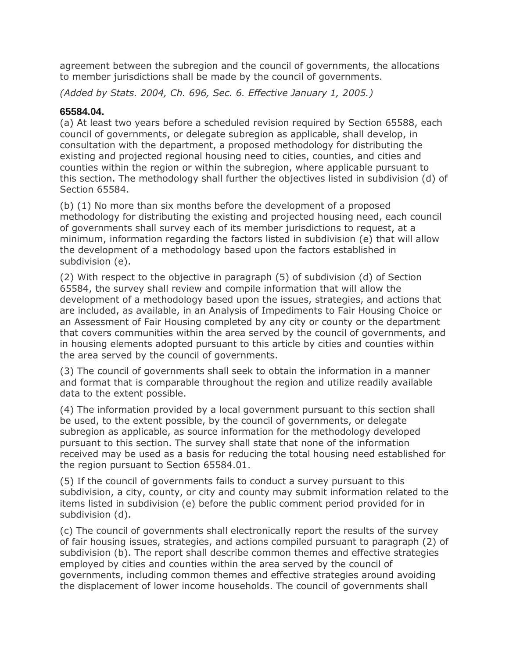agreement between the subregion and the council of governments, the allocations to member jurisdictions shall be made by the council of governments.

*(Added by Stats. 2004, Ch. 696, Sec. 6. Effective January 1, 2005.)*

## **65584.04.**

(a) At least two years before a scheduled revision required by Section 65588, each council of governments, or delegate subregion as applicable, shall develop, in consultation with the department, a proposed methodology for distributing the existing and projected regional housing need to cities, counties, and cities and counties within the region or within the subregion, where applicable pursuant to this section. The methodology shall further the objectives listed in subdivision (d) of Section 65584.

(b) (1) No more than six months before the development of a proposed methodology for distributing the existing and projected housing need, each council of governments shall survey each of its member jurisdictions to request, at a minimum, information regarding the factors listed in subdivision (e) that will allow the development of a methodology based upon the factors established in subdivision (e).

(2) With respect to the objective in paragraph (5) of subdivision (d) of Section 65584, the survey shall review and compile information that will allow the development of a methodology based upon the issues, strategies, and actions that are included, as available, in an Analysis of Impediments to Fair Housing Choice or an Assessment of Fair Housing completed by any city or county or the department that covers communities within the area served by the council of governments, and in housing elements adopted pursuant to this article by cities and counties within the area served by the council of governments.

(3) The council of governments shall seek to obtain the information in a manner and format that is comparable throughout the region and utilize readily available data to the extent possible.

(4) The information provided by a local government pursuant to this section shall be used, to the extent possible, by the council of governments, or delegate subregion as applicable, as source information for the methodology developed pursuant to this section. The survey shall state that none of the information received may be used as a basis for reducing the total housing need established for the region pursuant to Section 65584.01.

(5) If the council of governments fails to conduct a survey pursuant to this subdivision, a city, county, or city and county may submit information related to the items listed in subdivision (e) before the public comment period provided for in subdivision (d).

(c) The council of governments shall electronically report the results of the survey of fair housing issues, strategies, and actions compiled pursuant to paragraph (2) of subdivision (b). The report shall describe common themes and effective strategies employed by cities and counties within the area served by the council of governments, including common themes and effective strategies around avoiding the displacement of lower income households. The council of governments shall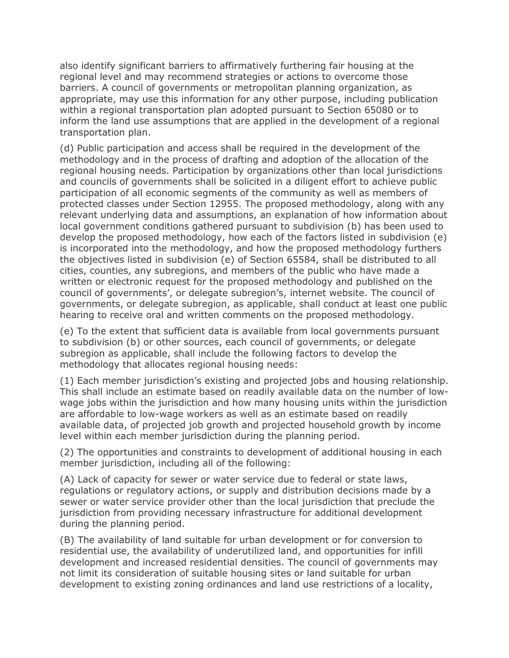also identify significant barriers to affirmatively furthering fair housing at the regional level and may recommend strategies or actions to overcome those barriers. A council of governments or metropolitan planning organization, as appropriate, may use this information for any other purpose, including publication within a regional transportation plan adopted pursuant to Section 65080 or to inform the land use assumptions that are applied in the development of a regional transportation plan.

(d) Public participation and access shall be required in the development of the methodology and in the process of drafting and adoption of the allocation of the regional housing needs. Participation by organizations other than local jurisdictions and councils of governments shall be solicited in a diligent effort to achieve public participation of all economic segments of the community as well as members of protected classes under Section 12955. The proposed methodology, along with any relevant underlying data and assumptions, an explanation of how information about local government conditions gathered pursuant to subdivision (b) has been used to develop the proposed methodology, how each of the factors listed in subdivision (e) is incorporated into the methodology, and how the proposed methodology furthers the objectives listed in subdivision (e) of Section 65584, shall be distributed to all cities, counties, any subregions, and members of the public who have made a written or electronic request for the proposed methodology and published on the council of governments', or delegate subregion's, internet website. The council of governments, or delegate subregion, as applicable, shall conduct at least one public hearing to receive oral and written comments on the proposed methodology.

(e) To the extent that sufficient data is available from local governments pursuant to subdivision (b) or other sources, each council of governments, or delegate subregion as applicable, shall include the following factors to develop the methodology that allocates regional housing needs:

(1) Each member jurisdiction's existing and projected jobs and housing relationship. This shall include an estimate based on readily available data on the number of lowwage jobs within the jurisdiction and how many housing units within the jurisdiction are affordable to low-wage workers as well as an estimate based on readily available data, of projected job growth and projected household growth by income level within each member jurisdiction during the planning period.

(2) The opportunities and constraints to development of additional housing in each member jurisdiction, including all of the following:

(A) Lack of capacity for sewer or water service due to federal or state laws, regulations or regulatory actions, or supply and distribution decisions made by a sewer or water service provider other than the local jurisdiction that preclude the jurisdiction from providing necessary infrastructure for additional development during the planning period.

(B) The availability of land suitable for urban development or for conversion to residential use, the availability of underutilized land, and opportunities for infill development and increased residential densities. The council of governments may not limit its consideration of suitable housing sites or land suitable for urban development to existing zoning ordinances and land use restrictions of a locality,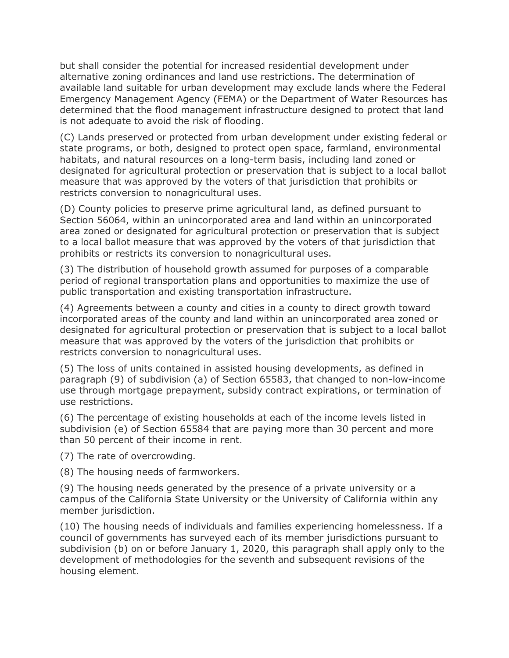but shall consider the potential for increased residential development under alternative zoning ordinances and land use restrictions. The determination of available land suitable for urban development may exclude lands where the Federal Emergency Management Agency (FEMA) or the Department of Water Resources has determined that the flood management infrastructure designed to protect that land is not adequate to avoid the risk of flooding.

(C) Lands preserved or protected from urban development under existing federal or state programs, or both, designed to protect open space, farmland, environmental habitats, and natural resources on a long-term basis, including land zoned or designated for agricultural protection or preservation that is subject to a local ballot measure that was approved by the voters of that jurisdiction that prohibits or restricts conversion to nonagricultural uses.

(D) County policies to preserve prime agricultural land, as defined pursuant to Section 56064, within an unincorporated area and land within an unincorporated area zoned or designated for agricultural protection or preservation that is subject to a local ballot measure that was approved by the voters of that jurisdiction that prohibits or restricts its conversion to nonagricultural uses.

(3) The distribution of household growth assumed for purposes of a comparable period of regional transportation plans and opportunities to maximize the use of public transportation and existing transportation infrastructure.

(4) Agreements between a county and cities in a county to direct growth toward incorporated areas of the county and land within an unincorporated area zoned or designated for agricultural protection or preservation that is subject to a local ballot measure that was approved by the voters of the jurisdiction that prohibits or restricts conversion to nonagricultural uses.

(5) The loss of units contained in assisted housing developments, as defined in paragraph (9) of subdivision (a) of Section 65583, that changed to non-low-income use through mortgage prepayment, subsidy contract expirations, or termination of use restrictions.

(6) The percentage of existing households at each of the income levels listed in subdivision (e) of Section 65584 that are paying more than 30 percent and more than 50 percent of their income in rent.

(7) The rate of overcrowding.

(8) The housing needs of farmworkers.

(9) The housing needs generated by the presence of a private university or a campus of the California State University or the University of California within any member jurisdiction.

(10) The housing needs of individuals and families experiencing homelessness. If a council of governments has surveyed each of its member jurisdictions pursuant to subdivision (b) on or before January 1, 2020, this paragraph shall apply only to the development of methodologies for the seventh and subsequent revisions of the housing element.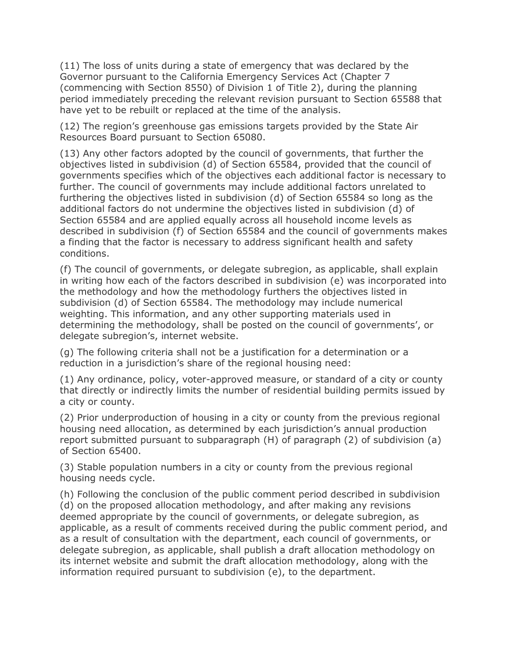(11) The loss of units during a state of emergency that was declared by the Governor pursuant to the California Emergency Services Act (Chapter 7 (commencing with Section 8550) of Division 1 of Title 2), during the planning period immediately preceding the relevant revision pursuant to Section 65588 that have yet to be rebuilt or replaced at the time of the analysis.

(12) The region's greenhouse gas emissions targets provided by the State Air Resources Board pursuant to Section 65080.

(13) Any other factors adopted by the council of governments, that further the objectives listed in subdivision (d) of Section 65584, provided that the council of governments specifies which of the objectives each additional factor is necessary to further. The council of governments may include additional factors unrelated to furthering the objectives listed in subdivision (d) of Section 65584 so long as the additional factors do not undermine the objectives listed in subdivision (d) of Section 65584 and are applied equally across all household income levels as described in subdivision (f) of Section 65584 and the council of governments makes a finding that the factor is necessary to address significant health and safety conditions.

(f) The council of governments, or delegate subregion, as applicable, shall explain in writing how each of the factors described in subdivision (e) was incorporated into the methodology and how the methodology furthers the objectives listed in subdivision (d) of Section 65584. The methodology may include numerical weighting. This information, and any other supporting materials used in determining the methodology, shall be posted on the council of governments', or delegate subregion's, internet website.

(g) The following criteria shall not be a justification for a determination or a reduction in a jurisdiction's share of the regional housing need:

(1) Any ordinance, policy, voter-approved measure, or standard of a city or county that directly or indirectly limits the number of residential building permits issued by a city or county.

(2) Prior underproduction of housing in a city or county from the previous regional housing need allocation, as determined by each jurisdiction's annual production report submitted pursuant to subparagraph (H) of paragraph (2) of subdivision (a) of Section 65400.

(3) Stable population numbers in a city or county from the previous regional housing needs cycle.

(h) Following the conclusion of the public comment period described in subdivision (d) on the proposed allocation methodology, and after making any revisions deemed appropriate by the council of governments, or delegate subregion, as applicable, as a result of comments received during the public comment period, and as a result of consultation with the department, each council of governments, or delegate subregion, as applicable, shall publish a draft allocation methodology on its internet website and submit the draft allocation methodology, along with the information required pursuant to subdivision (e), to the department.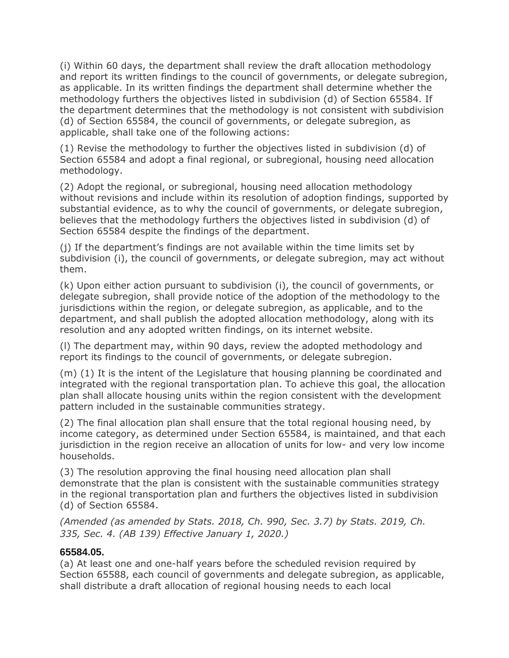(i) Within 60 days, the department shall review the draft allocation methodology and report its written findings to the council of governments, or delegate subregion, as applicable. In its written findings the department shall determine whether the methodology furthers the objectives listed in subdivision (d) of Section 65584. If the department determines that the methodology is not consistent with subdivision (d) of Section 65584, the council of governments, or delegate subregion, as applicable, shall take one of the following actions:

(1) Revise the methodology to further the objectives listed in subdivision (d) of Section 65584 and adopt a final regional, or subregional, housing need allocation methodology.

(2) Adopt the regional, or subregional, housing need allocation methodology without revisions and include within its resolution of adoption findings, supported by substantial evidence, as to why the council of governments, or delegate subregion, believes that the methodology furthers the objectives listed in subdivision (d) of Section 65584 despite the findings of the department.

(j) If the department's findings are not available within the time limits set by subdivision (i), the council of governments, or delegate subregion, may act without them.

(k) Upon either action pursuant to subdivision (i), the council of governments, or delegate subregion, shall provide notice of the adoption of the methodology to the jurisdictions within the region, or delegate subregion, as applicable, and to the department, and shall publish the adopted allocation methodology, along with its resolution and any adopted written findings, on its internet website.

(l) The department may, within 90 days, review the adopted methodology and report its findings to the council of governments, or delegate subregion.

(m) (1) It is the intent of the Legislature that housing planning be coordinated and integrated with the regional transportation plan. To achieve this goal, the allocation plan shall allocate housing units within the region consistent with the development pattern included in the sustainable communities strategy.

(2) The final allocation plan shall ensure that the total regional housing need, by income category, as determined under Section 65584, is maintained, and that each jurisdiction in the region receive an allocation of units for low- and very low income households.

(3) The resolution approving the final housing need allocation plan shall demonstrate that the plan is consistent with the sustainable communities strategy in the regional transportation plan and furthers the objectives listed in subdivision (d) of Section 65584.

*(Amended (as amended by Stats. 2018, Ch. 990, Sec. 3.7) by Stats. 2019, Ch. 335, Sec. 4. (AB 139) Effective January 1, 2020.)*

## **65584.05.**

(a) At least one and one-half years before the scheduled revision required by Section 65588, each council of governments and delegate subregion, as applicable, shall distribute a draft allocation of regional housing needs to each local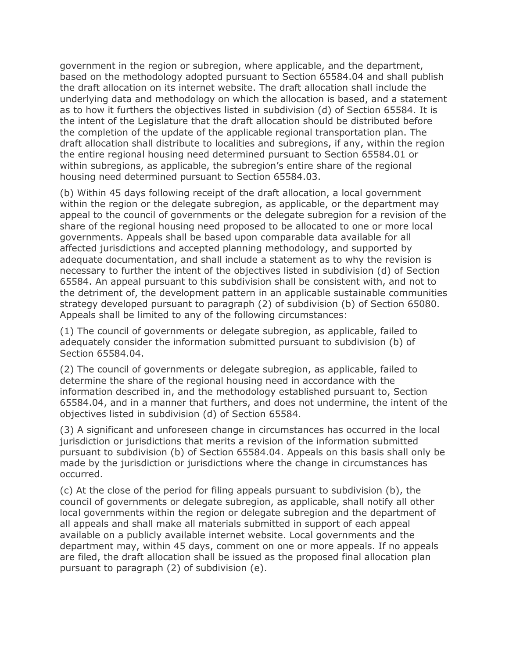government in the region or subregion, where applicable, and the department, based on the methodology adopted pursuant to Section 65584.04 and shall publish the draft allocation on its internet website. The draft allocation shall include the underlying data and methodology on which the allocation is based, and a statement as to how it furthers the objectives listed in subdivision (d) of Section 65584. It is the intent of the Legislature that the draft allocation should be distributed before the completion of the update of the applicable regional transportation plan. The draft allocation shall distribute to localities and subregions, if any, within the region the entire regional housing need determined pursuant to Section 65584.01 or within subregions, as applicable, the subregion's entire share of the regional housing need determined pursuant to Section 65584.03.

(b) Within 45 days following receipt of the draft allocation, a local government within the region or the delegate subregion, as applicable, or the department may appeal to the council of governments or the delegate subregion for a revision of the share of the regional housing need proposed to be allocated to one or more local governments. Appeals shall be based upon comparable data available for all affected jurisdictions and accepted planning methodology, and supported by adequate documentation, and shall include a statement as to why the revision is necessary to further the intent of the objectives listed in subdivision (d) of Section 65584. An appeal pursuant to this subdivision shall be consistent with, and not to the detriment of, the development pattern in an applicable sustainable communities strategy developed pursuant to paragraph (2) of subdivision (b) of Section 65080. Appeals shall be limited to any of the following circumstances:

(1) The council of governments or delegate subregion, as applicable, failed to adequately consider the information submitted pursuant to subdivision (b) of Section 65584.04.

(2) The council of governments or delegate subregion, as applicable, failed to determine the share of the regional housing need in accordance with the information described in, and the methodology established pursuant to, Section 65584.04, and in a manner that furthers, and does not undermine, the intent of the objectives listed in subdivision (d) of Section 65584.

(3) A significant and unforeseen change in circumstances has occurred in the local jurisdiction or jurisdictions that merits a revision of the information submitted pursuant to subdivision (b) of Section 65584.04. Appeals on this basis shall only be made by the jurisdiction or jurisdictions where the change in circumstances has occurred.

(c) At the close of the period for filing appeals pursuant to subdivision (b), the council of governments or delegate subregion, as applicable, shall notify all other local governments within the region or delegate subregion and the department of all appeals and shall make all materials submitted in support of each appeal available on a publicly available internet website. Local governments and the department may, within 45 days, comment on one or more appeals. If no appeals are filed, the draft allocation shall be issued as the proposed final allocation plan pursuant to paragraph (2) of subdivision (e).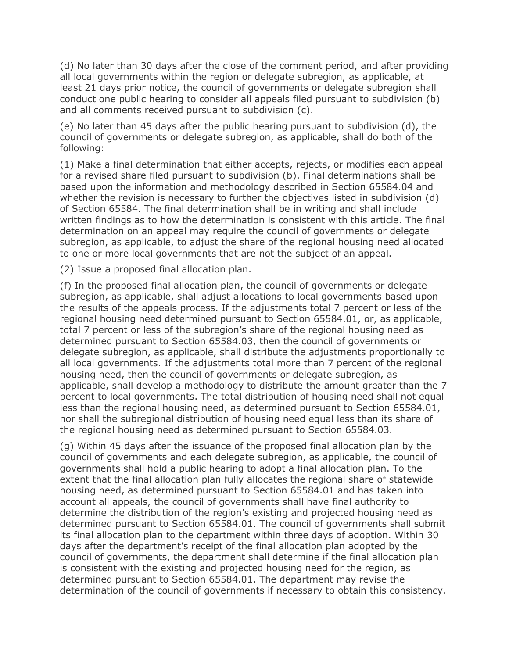(d) No later than 30 days after the close of the comment period, and after providing all local governments within the region or delegate subregion, as applicable, at least 21 days prior notice, the council of governments or delegate subregion shall conduct one public hearing to consider all appeals filed pursuant to subdivision (b) and all comments received pursuant to subdivision (c).

(e) No later than 45 days after the public hearing pursuant to subdivision (d), the council of governments or delegate subregion, as applicable, shall do both of the following:

(1) Make a final determination that either accepts, rejects, or modifies each appeal for a revised share filed pursuant to subdivision (b). Final determinations shall be based upon the information and methodology described in Section 65584.04 and whether the revision is necessary to further the objectives listed in subdivision (d) of Section 65584. The final determination shall be in writing and shall include written findings as to how the determination is consistent with this article. The final determination on an appeal may require the council of governments or delegate subregion, as applicable, to adjust the share of the regional housing need allocated to one or more local governments that are not the subject of an appeal.

(2) Issue a proposed final allocation plan.

(f) In the proposed final allocation plan, the council of governments or delegate subregion, as applicable, shall adjust allocations to local governments based upon the results of the appeals process. If the adjustments total 7 percent or less of the regional housing need determined pursuant to Section 65584.01, or, as applicable, total 7 percent or less of the subregion's share of the regional housing need as determined pursuant to Section 65584.03, then the council of governments or delegate subregion, as applicable, shall distribute the adjustments proportionally to all local governments. If the adjustments total more than 7 percent of the regional housing need, then the council of governments or delegate subregion, as applicable, shall develop a methodology to distribute the amount greater than the 7 percent to local governments. The total distribution of housing need shall not equal less than the regional housing need, as determined pursuant to Section 65584.01, nor shall the subregional distribution of housing need equal less than its share of the regional housing need as determined pursuant to Section 65584.03.

(g) Within 45 days after the issuance of the proposed final allocation plan by the council of governments and each delegate subregion, as applicable, the council of governments shall hold a public hearing to adopt a final allocation plan. To the extent that the final allocation plan fully allocates the regional share of statewide housing need, as determined pursuant to Section 65584.01 and has taken into account all appeals, the council of governments shall have final authority to determine the distribution of the region's existing and projected housing need as determined pursuant to Section 65584.01. The council of governments shall submit its final allocation plan to the department within three days of adoption. Within 30 days after the department's receipt of the final allocation plan adopted by the council of governments, the department shall determine if the final allocation plan is consistent with the existing and projected housing need for the region, as determined pursuant to Section 65584.01. The department may revise the determination of the council of governments if necessary to obtain this consistency.